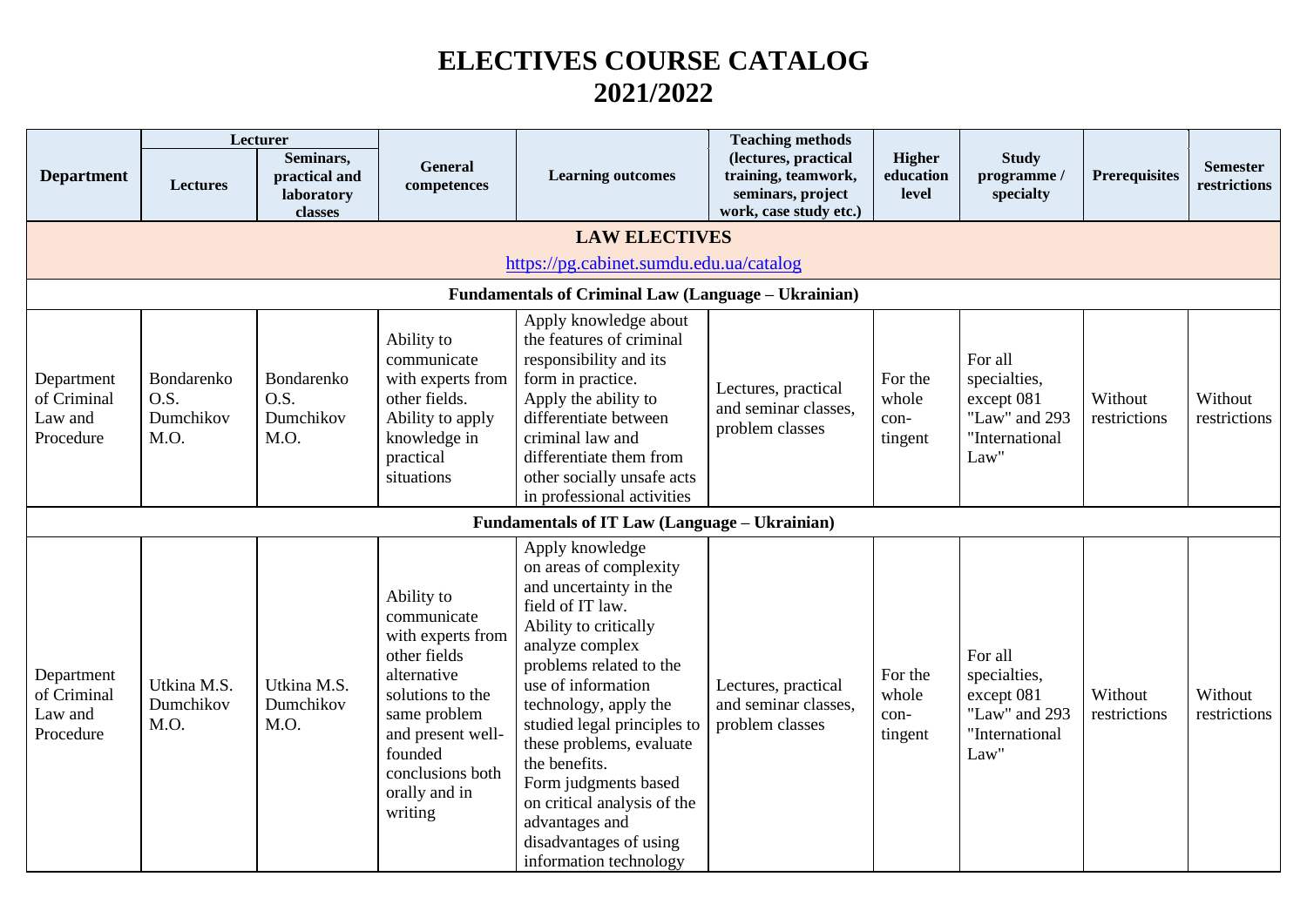## **ELECTIVES COURSE CATALOG 2021/2022**

|                                                   |                                         | Lecturer                                            |                                                                                                                                                                                                   |                                                                                                                                                                                                                                                                                                                                                                                                                        | <b>Teaching methods</b>                                                                    |                                     |                                                                                  |                         |                                 |
|---------------------------------------------------|-----------------------------------------|-----------------------------------------------------|---------------------------------------------------------------------------------------------------------------------------------------------------------------------------------------------------|------------------------------------------------------------------------------------------------------------------------------------------------------------------------------------------------------------------------------------------------------------------------------------------------------------------------------------------------------------------------------------------------------------------------|--------------------------------------------------------------------------------------------|-------------------------------------|----------------------------------------------------------------------------------|-------------------------|---------------------------------|
| <b>Department</b>                                 | <b>Lectures</b>                         | Seminars,<br>practical and<br>laboratory<br>classes | <b>General</b><br>competences                                                                                                                                                                     | <b>Learning outcomes</b>                                                                                                                                                                                                                                                                                                                                                                                               | (lectures, practical<br>training, teamwork,<br>seminars, project<br>work, case study etc.) | <b>Higher</b><br>education<br>level | <b>Study</b><br>programme/<br>specialty                                          | <b>Prerequisites</b>    | <b>Semester</b><br>restrictions |
|                                                   |                                         |                                                     |                                                                                                                                                                                                   | <b>LAW ELECTIVES</b>                                                                                                                                                                                                                                                                                                                                                                                                   |                                                                                            |                                     |                                                                                  |                         |                                 |
|                                                   |                                         |                                                     |                                                                                                                                                                                                   | https://pg.cabinet.sumdu.edu.ua/catalog                                                                                                                                                                                                                                                                                                                                                                                |                                                                                            |                                     |                                                                                  |                         |                                 |
|                                                   |                                         |                                                     |                                                                                                                                                                                                   | <b>Fundamentals of Criminal Law (Language - Ukrainian)</b>                                                                                                                                                                                                                                                                                                                                                             |                                                                                            |                                     |                                                                                  |                         |                                 |
| Department<br>of Criminal<br>Law and<br>Procedure | Bondarenko<br>O.S.<br>Dumchikov<br>M.O. | Bondarenko<br>O.S.<br>Dumchikov<br>M.O.             | Ability to<br>communicate<br>with experts from<br>other fields.<br>Ability to apply<br>knowledge in<br>practical<br>situations                                                                    | Apply knowledge about<br>the features of criminal<br>responsibility and its<br>form in practice.<br>Apply the ability to<br>differentiate between<br>criminal law and<br>differentiate them from<br>other socially unsafe acts<br>in professional activities                                                                                                                                                           | Lectures, practical<br>and seminar classes,<br>problem classes                             | For the<br>whole<br>con-<br>tingent | For all<br>specialties,<br>except 081<br>"Law" and 293<br>"International<br>Law" | Without<br>restrictions | Without<br>restrictions         |
|                                                   |                                         |                                                     |                                                                                                                                                                                                   | Fundamentals of IT Law (Language - Ukrainian)                                                                                                                                                                                                                                                                                                                                                                          |                                                                                            |                                     |                                                                                  |                         |                                 |
| Department<br>of Criminal<br>Law and<br>Procedure | Utkina M.S.<br>Dumchikov<br>M.O.        | Utkina M.S.<br>Dumchikov<br>M.O.                    | Ability to<br>communicate<br>with experts from<br>other fields<br>alternative<br>solutions to the<br>same problem<br>and present well-<br>founded<br>conclusions both<br>orally and in<br>writing | Apply knowledge<br>on areas of complexity<br>and uncertainty in the<br>field of IT law.<br>Ability to critically<br>analyze complex<br>problems related to the<br>use of information<br>technology, apply the<br>studied legal principles to<br>these problems, evaluate<br>the benefits.<br>Form judgments based<br>on critical analysis of the<br>advantages and<br>disadvantages of using<br>information technology | Lectures, practical<br>and seminar classes,<br>problem classes                             | For the<br>whole<br>con-<br>tingent | For all<br>specialties,<br>except 081<br>"Law" and 293<br>"International<br>Law" | Without<br>restrictions | Without<br>restrictions         |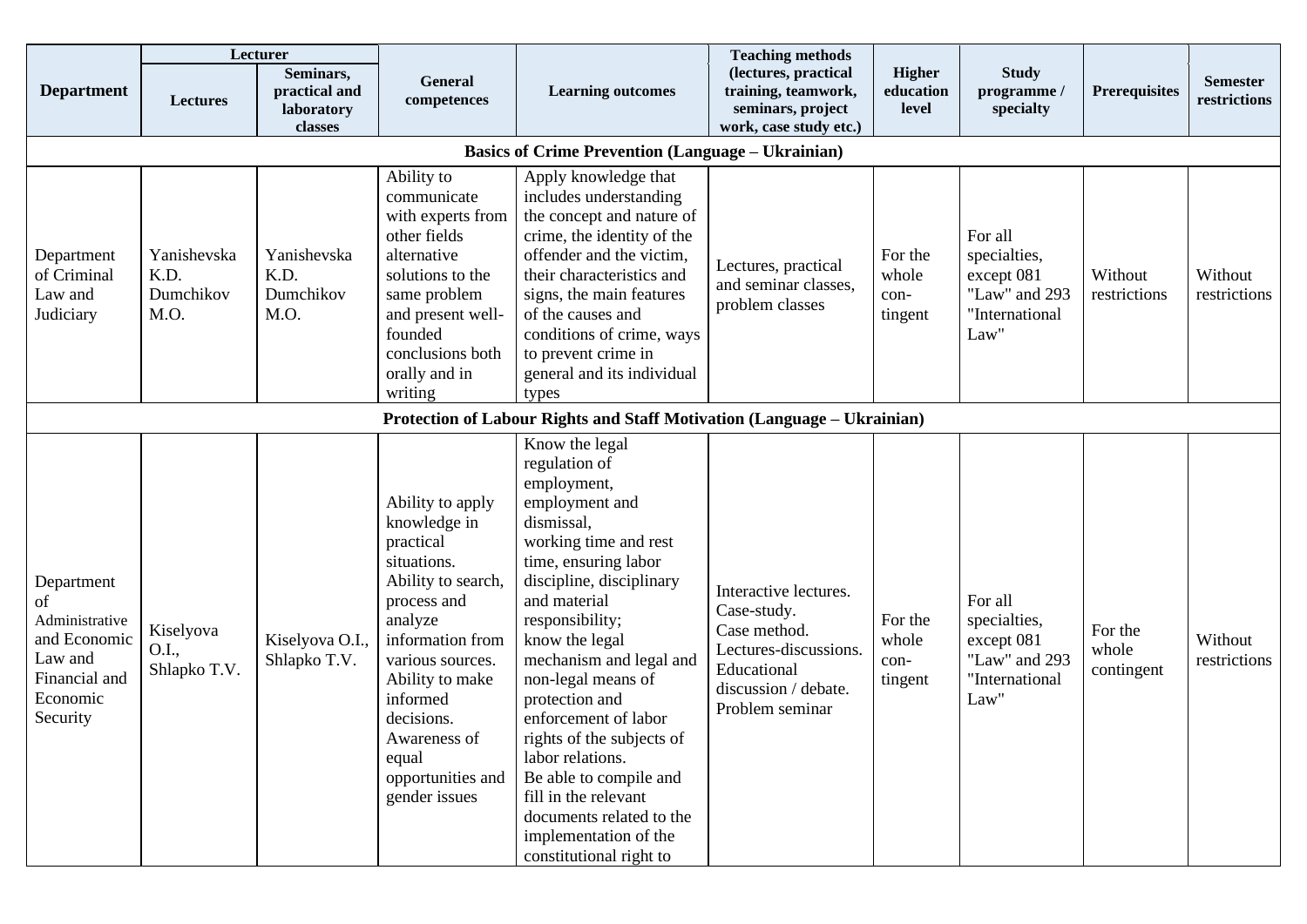|                                                                                                        |                                          | Lecturer                                            |                                                                                                                                                                                                                                                                  |                                                                                                                                                                                                                                                                                                                                                                                                                                                                                                | <b>Teaching methods</b>                                                                                                                 |                                     |                                                                                  |                                |                                 |
|--------------------------------------------------------------------------------------------------------|------------------------------------------|-----------------------------------------------------|------------------------------------------------------------------------------------------------------------------------------------------------------------------------------------------------------------------------------------------------------------------|------------------------------------------------------------------------------------------------------------------------------------------------------------------------------------------------------------------------------------------------------------------------------------------------------------------------------------------------------------------------------------------------------------------------------------------------------------------------------------------------|-----------------------------------------------------------------------------------------------------------------------------------------|-------------------------------------|----------------------------------------------------------------------------------|--------------------------------|---------------------------------|
| <b>Department</b>                                                                                      | <b>Lectures</b>                          | Seminars,<br>practical and<br>laboratory<br>classes | General<br>competences                                                                                                                                                                                                                                           | <b>Learning outcomes</b>                                                                                                                                                                                                                                                                                                                                                                                                                                                                       | (lectures, practical<br>training, teamwork,<br>seminars, project<br>work, case study etc.)                                              | <b>Higher</b><br>education<br>level | <b>Study</b><br>programme /<br>specialty                                         | <b>Prerequisites</b>           | <b>Semester</b><br>restrictions |
|                                                                                                        |                                          |                                                     |                                                                                                                                                                                                                                                                  | <b>Basics of Crime Prevention (Language – Ukrainian)</b>                                                                                                                                                                                                                                                                                                                                                                                                                                       |                                                                                                                                         |                                     |                                                                                  |                                |                                 |
| Department<br>of Criminal<br>Law and<br>Judiciary                                                      | Yanishevska<br>K.D.<br>Dumchikov<br>M.O. | Yanishevska<br>K.D.<br>Dumchikov<br>M.O.            | Ability to<br>communicate<br>with experts from<br>other fields<br>alternative<br>solutions to the<br>same problem<br>and present well-<br>founded<br>conclusions both<br>orally and in<br>writing                                                                | Apply knowledge that<br>includes understanding<br>the concept and nature of<br>crime, the identity of the<br>offender and the victim,<br>their characteristics and<br>signs, the main features<br>of the causes and<br>conditions of crime, ways<br>to prevent crime in<br>general and its individual<br>types                                                                                                                                                                                 | Lectures, practical<br>and seminar classes,<br>problem classes                                                                          | For the<br>whole<br>con-<br>tingent | For all<br>specialties,<br>except 081<br>"Law" and 293<br>"International<br>Law" | Without<br>restrictions        | Without<br>restrictions         |
|                                                                                                        |                                          |                                                     |                                                                                                                                                                                                                                                                  | Protection of Labour Rights and Staff Motivation (Language - Ukrainian)                                                                                                                                                                                                                                                                                                                                                                                                                        |                                                                                                                                         |                                     |                                                                                  |                                |                                 |
| Department<br>of<br>Administrative<br>and Economic<br>Law and<br>Financial and<br>Economic<br>Security | Kiselyova<br>O.I.,<br>Shlapko T.V.       | Kiselyova O.I.,<br>Shlapko T.V.                     | Ability to apply<br>knowledge in<br>practical<br>situations.<br>Ability to search,<br>process and<br>analyze<br>information from<br>various sources.<br>Ability to make<br>informed<br>decisions.<br>Awareness of<br>equal<br>opportunities and<br>gender issues | Know the legal<br>regulation of<br>employment,<br>employment and<br>dismissal,<br>working time and rest<br>time, ensuring labor<br>discipline, disciplinary<br>and material<br>responsibility;<br>know the legal<br>mechanism and legal and<br>non-legal means of<br>protection and<br>enforcement of labor<br>rights of the subjects of<br>labor relations.<br>Be able to compile and<br>fill in the relevant<br>documents related to the<br>implementation of the<br>constitutional right to | Interactive lectures.<br>Case-study.<br>Case method.<br>Lectures-discussions.<br>Educational<br>discussion / debate.<br>Problem seminar | For the<br>whole<br>con-<br>tingent | For all<br>specialties,<br>except 081<br>"Law" and 293<br>"International<br>Law" | For the<br>whole<br>contingent | Without<br>restrictions         |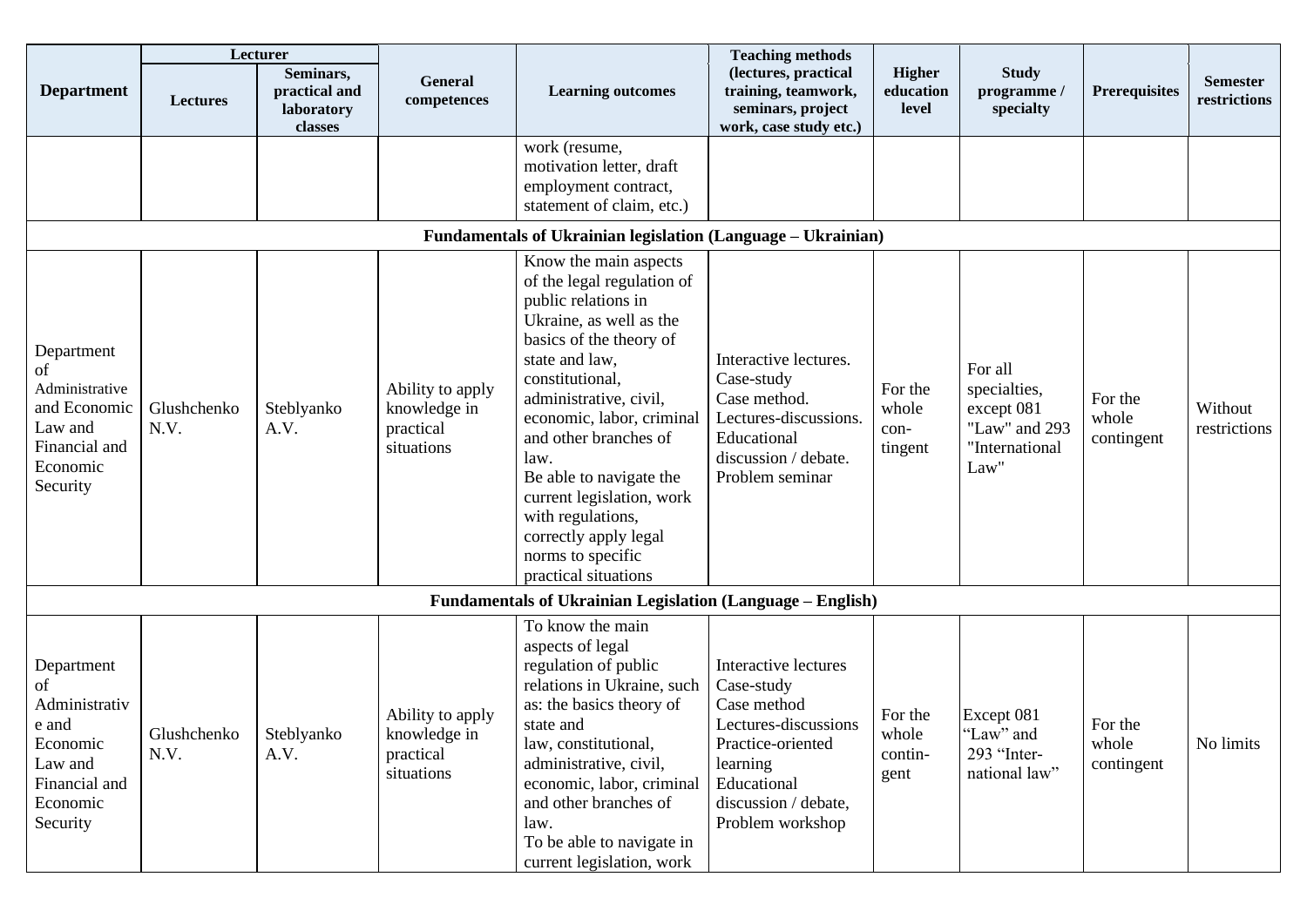|                                                                                                            |                     | Lecturer                                            |                                                             |                                                                                                                                                                                                                                                                                                                                                                                                                  | <b>Teaching methods</b>                                                                                                                                               |                                     |                                                                                  |                                |                                 |
|------------------------------------------------------------------------------------------------------------|---------------------|-----------------------------------------------------|-------------------------------------------------------------|------------------------------------------------------------------------------------------------------------------------------------------------------------------------------------------------------------------------------------------------------------------------------------------------------------------------------------------------------------------------------------------------------------------|-----------------------------------------------------------------------------------------------------------------------------------------------------------------------|-------------------------------------|----------------------------------------------------------------------------------|--------------------------------|---------------------------------|
| <b>Department</b>                                                                                          | <b>Lectures</b>     | Seminars,<br>practical and<br>laboratory<br>classes | General<br>competences                                      | <b>Learning outcomes</b>                                                                                                                                                                                                                                                                                                                                                                                         | (lectures, practical<br>training, teamwork,<br>seminars, project<br>work, case study etc.)                                                                            | <b>Higher</b><br>education<br>level | <b>Study</b><br>programme /<br>specialty                                         | <b>Prerequisites</b>           | <b>Semester</b><br>restrictions |
|                                                                                                            |                     |                                                     |                                                             | work (resume,<br>motivation letter, draft<br>employment contract,<br>statement of claim, etc.)                                                                                                                                                                                                                                                                                                                   |                                                                                                                                                                       |                                     |                                                                                  |                                |                                 |
|                                                                                                            |                     |                                                     |                                                             | Fundamentals of Ukrainian legislation (Language - Ukrainian)                                                                                                                                                                                                                                                                                                                                                     |                                                                                                                                                                       |                                     |                                                                                  |                                |                                 |
| Department<br>οf<br>Administrative<br>and Economic<br>Law and<br>Financial and<br>Economic<br>Security     | Glushchenko<br>N.V. | Steblyanko<br>A.V.                                  | Ability to apply<br>knowledge in<br>practical<br>situations | Know the main aspects<br>of the legal regulation of<br>public relations in<br>Ukraine, as well as the<br>basics of the theory of<br>state and law,<br>constitutional,<br>administrative, civil,<br>economic, labor, criminal<br>and other branches of<br>law.<br>Be able to navigate the<br>current legislation, work<br>with regulations,<br>correctly apply legal<br>norms to specific<br>practical situations | Interactive lectures.<br>Case-study<br>Case method.<br>Lectures-discussions.<br>Educational<br>discussion / debate.<br>Problem seminar                                | For the<br>whole<br>con-<br>tingent | For all<br>specialties,<br>except 081<br>"Law" and 293<br>"International<br>Law" | For the<br>whole<br>contingent | Without<br>restrictions         |
|                                                                                                            |                     |                                                     |                                                             | Fundamentals of Ukrainian Legislation (Language - English)                                                                                                                                                                                                                                                                                                                                                       |                                                                                                                                                                       |                                     |                                                                                  |                                |                                 |
| Department<br>οf<br>Administrativ<br>e and<br>Economic<br>Law and<br>Financial and<br>Economic<br>Security | Glushchenko<br>N.V. | Steblyanko<br>A.V.                                  | Ability to apply<br>knowledge in<br>practical<br>situations | To know the main<br>aspects of legal<br>regulation of public<br>relations in Ukraine, such<br>as: the basics theory of<br>state and<br>law, constitutional,<br>administrative, civil,<br>economic, labor, criminal<br>and other branches of<br>law.<br>To be able to navigate in<br>current legislation, work                                                                                                    | Interactive lectures<br>Case-study<br>Case method<br>Lectures-discussions<br>Practice-oriented<br>learning<br>Educational<br>discussion / debate,<br>Problem workshop | For the<br>whole<br>contin-<br>gent | Except 081<br>"Law" and<br>293 "Inter-<br>national law"                          | For the<br>whole<br>contingent | No limits                       |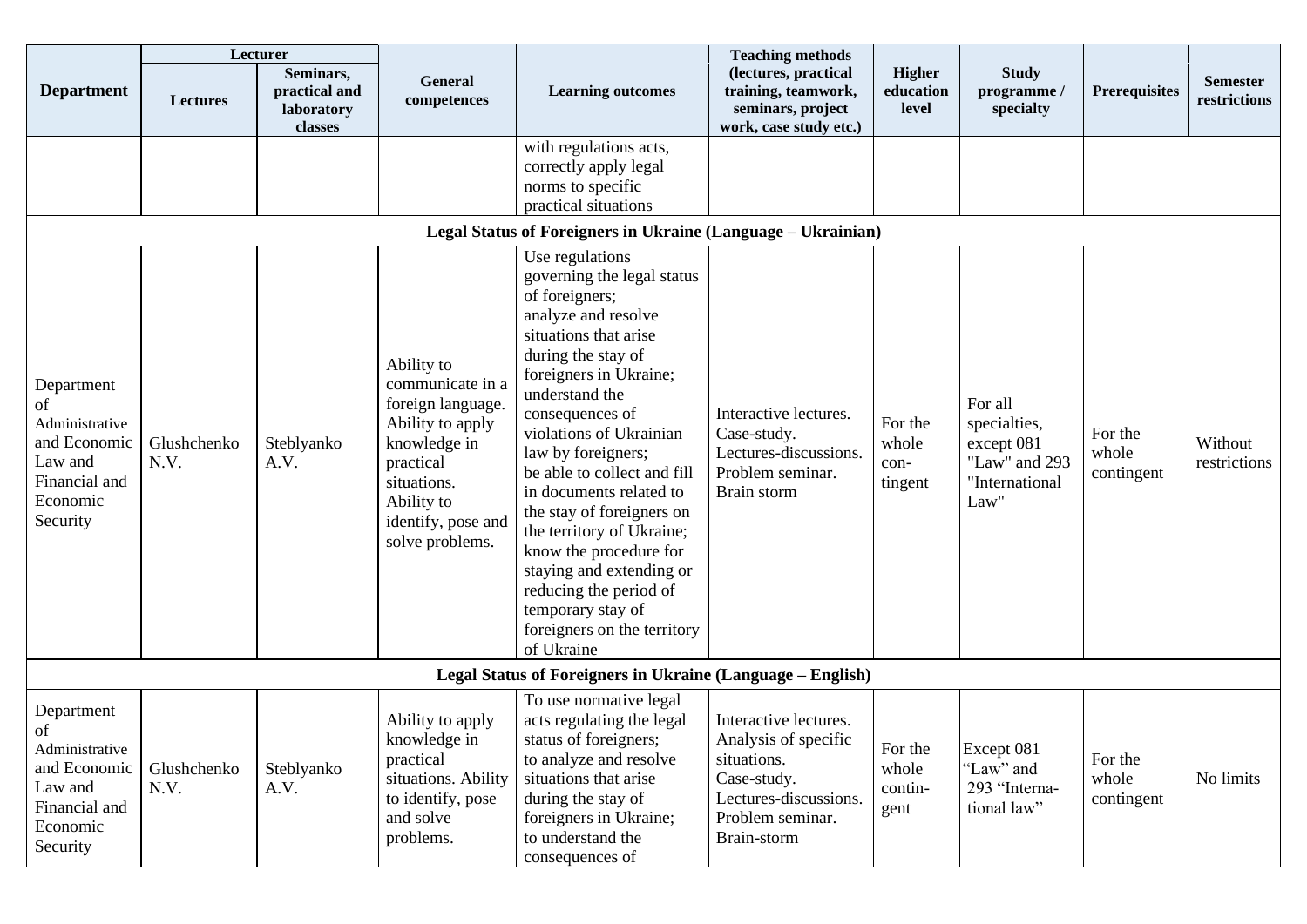|                                                                                                        |                     | Lecturer                                            |                                                                                                                                                                            |                                                                                                                                                                                                                                                                                                                                                                                                                                                                                                                             | <b>Teaching methods</b>                                                                                                                 |                                     |                                                                                  |                                |                                 |
|--------------------------------------------------------------------------------------------------------|---------------------|-----------------------------------------------------|----------------------------------------------------------------------------------------------------------------------------------------------------------------------------|-----------------------------------------------------------------------------------------------------------------------------------------------------------------------------------------------------------------------------------------------------------------------------------------------------------------------------------------------------------------------------------------------------------------------------------------------------------------------------------------------------------------------------|-----------------------------------------------------------------------------------------------------------------------------------------|-------------------------------------|----------------------------------------------------------------------------------|--------------------------------|---------------------------------|
| <b>Department</b>                                                                                      | <b>Lectures</b>     | Seminars,<br>practical and<br>laboratory<br>classes | <b>General</b><br>competences                                                                                                                                              | <b>Learning outcomes</b>                                                                                                                                                                                                                                                                                                                                                                                                                                                                                                    | (lectures, practical<br>training, teamwork,<br>seminars, project<br>work, case study etc.)                                              | <b>Higher</b><br>education<br>level | <b>Study</b><br>programme /<br>specialty                                         | <b>Prerequisites</b>           | <b>Semester</b><br>restrictions |
|                                                                                                        |                     |                                                     |                                                                                                                                                                            | with regulations acts,<br>correctly apply legal<br>norms to specific<br>practical situations                                                                                                                                                                                                                                                                                                                                                                                                                                |                                                                                                                                         |                                     |                                                                                  |                                |                                 |
|                                                                                                        |                     |                                                     |                                                                                                                                                                            | Legal Status of Foreigners in Ukraine (Language – Ukrainian)                                                                                                                                                                                                                                                                                                                                                                                                                                                                |                                                                                                                                         |                                     |                                                                                  |                                |                                 |
| Department<br>οf<br>Administrative<br>and Economic<br>Law and<br>Financial and<br>Economic<br>Security | Glushchenko<br>N.V. | Steblyanko<br>A.V.                                  | Ability to<br>communicate in a<br>foreign language.<br>Ability to apply<br>knowledge in<br>practical<br>situations.<br>Ability to<br>identify, pose and<br>solve problems. | Use regulations<br>governing the legal status<br>of foreigners;<br>analyze and resolve<br>situations that arise<br>during the stay of<br>foreigners in Ukraine;<br>understand the<br>consequences of<br>violations of Ukrainian<br>law by foreigners;<br>be able to collect and fill<br>in documents related to<br>the stay of foreigners on<br>the territory of Ukraine;<br>know the procedure for<br>staying and extending or<br>reducing the period of<br>temporary stay of<br>foreigners on the territory<br>of Ukraine | Interactive lectures.<br>Case-study.<br>Lectures-discussions.<br>Problem seminar.<br>Brain storm                                        | For the<br>whole<br>con-<br>tingent | For all<br>specialties,<br>except 081<br>"Law" and 293<br>"International<br>Law" | For the<br>whole<br>contingent | Without<br>restrictions         |
|                                                                                                        |                     |                                                     |                                                                                                                                                                            | Legal Status of Foreigners in Ukraine (Language – English)                                                                                                                                                                                                                                                                                                                                                                                                                                                                  |                                                                                                                                         |                                     |                                                                                  |                                |                                 |
| Department<br>of<br>Administrative<br>and Economic<br>Law and<br>Financial and<br>Economic<br>Security | Glushchenko<br>N.V. | Steblyanko<br>A.V.                                  | Ability to apply<br>knowledge in<br>practical<br>situations. Ability<br>to identify, pose<br>and solve<br>problems.                                                        | To use normative legal<br>acts regulating the legal<br>status of foreigners;<br>to analyze and resolve<br>situations that arise<br>during the stay of<br>foreigners in Ukraine;<br>to understand the<br>consequences of                                                                                                                                                                                                                                                                                                     | Interactive lectures.<br>Analysis of specific<br>situations.<br>Case-study.<br>Lectures-discussions.<br>Problem seminar.<br>Brain-storm | For the<br>whole<br>contin-<br>gent | Except 081<br>'Law" and<br>293 "Interna-<br>tional law"                          | For the<br>whole<br>contingent | No limits                       |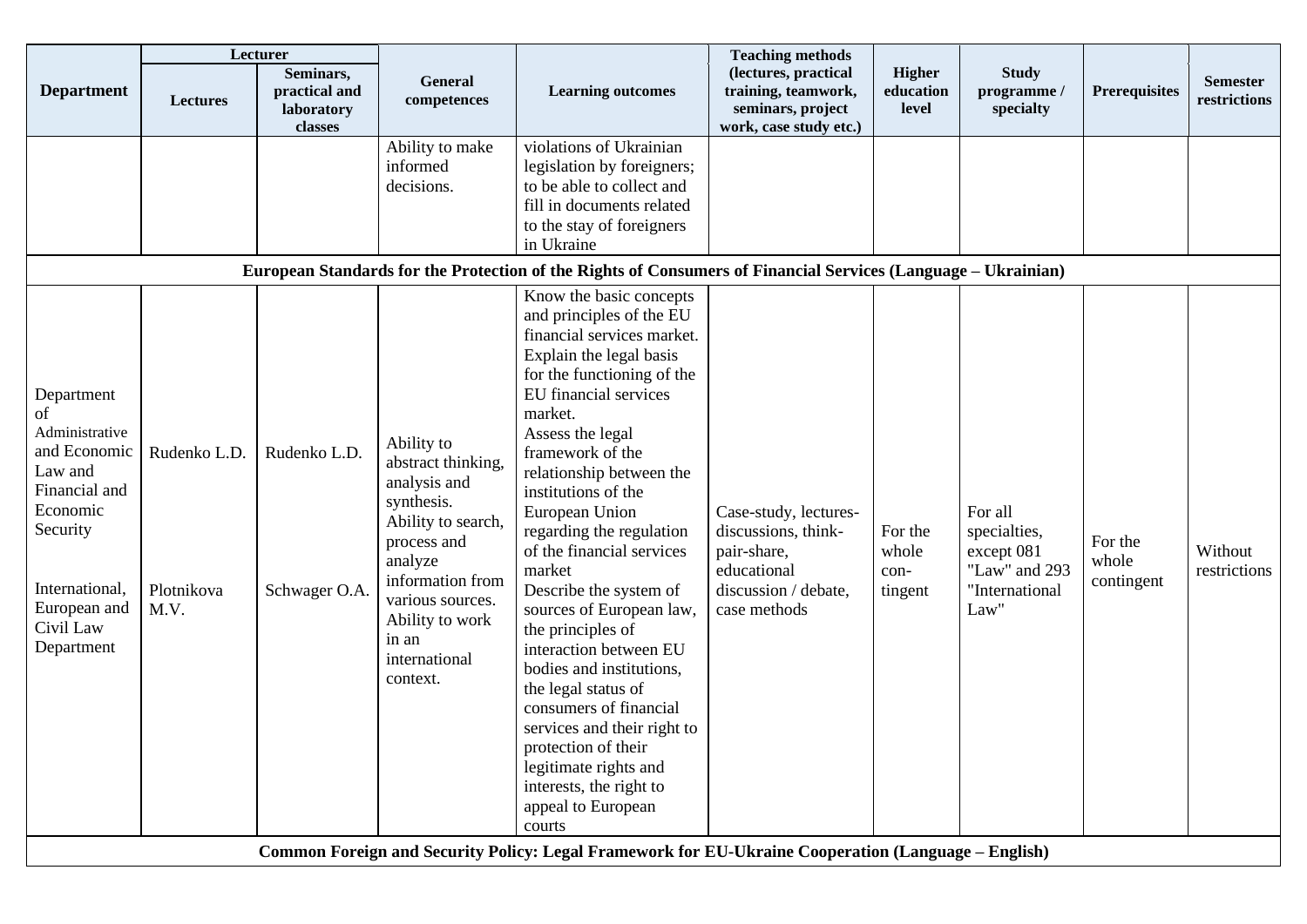|                                                                                                                                                                     |                                    | Lecturer                                            |                                                                                                                                                                                                                 |                                                                                                                                                                                                                                                                                                                                                                                                                                                                                                                                                                                                                                                                                            | <b>Teaching methods</b>                                                                                            |                                     |                                                                                  |                                |                                 |
|---------------------------------------------------------------------------------------------------------------------------------------------------------------------|------------------------------------|-----------------------------------------------------|-----------------------------------------------------------------------------------------------------------------------------------------------------------------------------------------------------------------|--------------------------------------------------------------------------------------------------------------------------------------------------------------------------------------------------------------------------------------------------------------------------------------------------------------------------------------------------------------------------------------------------------------------------------------------------------------------------------------------------------------------------------------------------------------------------------------------------------------------------------------------------------------------------------------------|--------------------------------------------------------------------------------------------------------------------|-------------------------------------|----------------------------------------------------------------------------------|--------------------------------|---------------------------------|
| <b>Department</b>                                                                                                                                                   | <b>Lectures</b>                    | Seminars,<br>practical and<br>laboratory<br>classes | General<br>competences                                                                                                                                                                                          | <b>Learning outcomes</b>                                                                                                                                                                                                                                                                                                                                                                                                                                                                                                                                                                                                                                                                   | (lectures, practical<br>training, teamwork,<br>seminars, project<br>work, case study etc.)                         | <b>Higher</b><br>education<br>level | <b>Study</b><br>programme /<br>specialty                                         | <b>Prerequisites</b>           | <b>Semester</b><br>restrictions |
|                                                                                                                                                                     |                                    |                                                     | Ability to make<br>informed<br>decisions.                                                                                                                                                                       | violations of Ukrainian<br>legislation by foreigners;<br>to be able to collect and<br>fill in documents related<br>to the stay of foreigners<br>in Ukraine<br>European Standards for the Protection of the Rights of Consumers of Financial Services (Language – Ukrainian)                                                                                                                                                                                                                                                                                                                                                                                                                |                                                                                                                    |                                     |                                                                                  |                                |                                 |
| Department<br>of<br>Administrative<br>and Economic<br>Law and<br>Financial and<br>Economic<br>Security<br>International,<br>European and<br>Civil Law<br>Department | Rudenko L.D.<br>Plotnikova<br>M.V. | Rudenko L.D.<br>Schwager O.A.                       | Ability to<br>abstract thinking,<br>analysis and<br>synthesis.<br>Ability to search,<br>process and<br>analyze<br>information from<br>various sources.<br>Ability to work<br>in an<br>international<br>context. | Know the basic concepts<br>and principles of the EU<br>financial services market.<br>Explain the legal basis<br>for the functioning of the<br>EU financial services<br>market.<br>Assess the legal<br>framework of the<br>relationship between the<br>institutions of the<br>European Union<br>regarding the regulation<br>of the financial services<br>market<br>Describe the system of<br>sources of European law,<br>the principles of<br>interaction between EU<br>bodies and institutions,<br>the legal status of<br>consumers of financial<br>services and their right to<br>protection of their<br>legitimate rights and<br>interests, the right to<br>appeal to European<br>courts | Case-study, lectures-<br>discussions, think-<br>pair-share,<br>educational<br>discussion / debate,<br>case methods | For the<br>whole<br>con-<br>tingent | For all<br>specialties,<br>except 081<br>"Law" and 293<br>"International<br>Law" | For the<br>whole<br>contingent | Without<br>restrictions         |
|                                                                                                                                                                     |                                    |                                                     |                                                                                                                                                                                                                 | Common Foreign and Security Policy: Legal Framework for EU-Ukraine Cooperation (Language - English)                                                                                                                                                                                                                                                                                                                                                                                                                                                                                                                                                                                        |                                                                                                                    |                                     |                                                                                  |                                |                                 |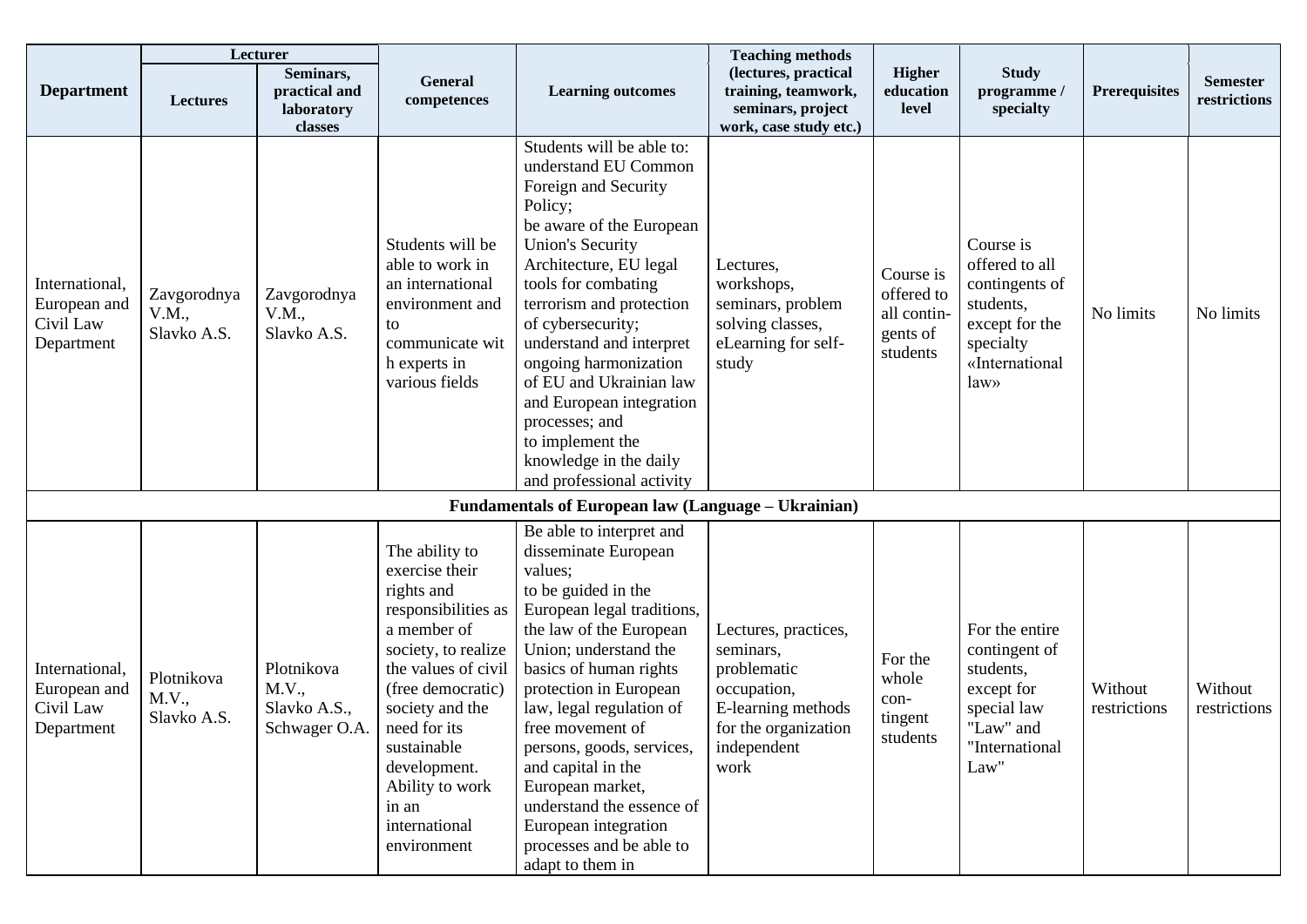|                                                           |                                     | Lecturer                                             |                                                                                                                                                                                                                                                                                       |                                                                                                                                                                                                                                                                                                                                                                                                                                                        | <b>Teaching methods</b>                                                                                                              |                                                                |                                                                                                                    |                         |                                 |
|-----------------------------------------------------------|-------------------------------------|------------------------------------------------------|---------------------------------------------------------------------------------------------------------------------------------------------------------------------------------------------------------------------------------------------------------------------------------------|--------------------------------------------------------------------------------------------------------------------------------------------------------------------------------------------------------------------------------------------------------------------------------------------------------------------------------------------------------------------------------------------------------------------------------------------------------|--------------------------------------------------------------------------------------------------------------------------------------|----------------------------------------------------------------|--------------------------------------------------------------------------------------------------------------------|-------------------------|---------------------------------|
| <b>Department</b>                                         | <b>Lectures</b>                     | Seminars,<br>practical and<br>laboratory<br>classes  | General<br>competences                                                                                                                                                                                                                                                                | <b>Learning outcomes</b>                                                                                                                                                                                                                                                                                                                                                                                                                               | (lectures, practical<br>training, teamwork,<br>seminars, project<br>work, case study etc.)                                           | <b>Higher</b><br>education<br>level                            | <b>Study</b><br>programme /<br>specialty                                                                           | <b>Prerequisites</b>    | <b>Semester</b><br>restrictions |
| International,<br>European and<br>Civil Law<br>Department | Zavgorodnya<br>V.M.,<br>Slavko A.S. | Zavgorodnya<br>V.M.,<br>Slavko A.S.                  | Students will be<br>able to work in<br>an international<br>environment and<br>to<br>communicate wit<br>h experts in<br>various fields                                                                                                                                                 | Students will be able to:<br>understand EU Common<br>Foreign and Security<br>Policy;<br>be aware of the European<br><b>Union's Security</b><br>Architecture, EU legal<br>tools for combating<br>terrorism and protection<br>of cybersecurity;<br>understand and interpret<br>ongoing harmonization<br>of EU and Ukrainian law<br>and European integration<br>processes; and<br>to implement the<br>knowledge in the daily<br>and professional activity | Lectures,<br>workshops,<br>seminars, problem<br>solving classes,<br>eLearning for self-<br>study                                     | Course is<br>offered to<br>all contin-<br>gents of<br>students | Course is<br>offered to all<br>contingents of<br>students,<br>except for the<br>specialty<br>«International<br>law | No limits               | No limits                       |
|                                                           |                                     |                                                      |                                                                                                                                                                                                                                                                                       | <b>Fundamentals of European law (Language – Ukrainian)</b>                                                                                                                                                                                                                                                                                                                                                                                             |                                                                                                                                      |                                                                |                                                                                                                    |                         |                                 |
| International,<br>European and<br>Civil Law<br>Department | Plotnikova<br>M.V.,<br>Slavko A.S.  | Plotnikova<br>M.V.,<br>Slavko A.S.,<br>Schwager O.A. | The ability to<br>exercise their<br>rights and<br>responsibilities as<br>a member of<br>society, to realize<br>the values of civil<br>(free democratic)<br>society and the<br>need for its<br>sustainable<br>development.<br>Ability to work<br>in an<br>international<br>environment | Be able to interpret and<br>disseminate European<br>values;<br>to be guided in the<br>European legal traditions,<br>the law of the European<br>Union; understand the<br>basics of human rights<br>protection in European<br>law, legal regulation of<br>free movement of<br>persons, goods, services,<br>and capital in the<br>European market,<br>understand the essence of<br>European integration<br>processes and be able to<br>adapt to them in   | Lectures, practices,<br>seminars,<br>problematic<br>occupation,<br>E-learning methods<br>for the organization<br>independent<br>work | For the<br>whole<br>con-<br>tingent<br>students                | For the entire<br>contingent of<br>students,<br>except for<br>special law<br>"Law" and<br>"International<br>Law"   | Without<br>restrictions | Without<br>restrictions         |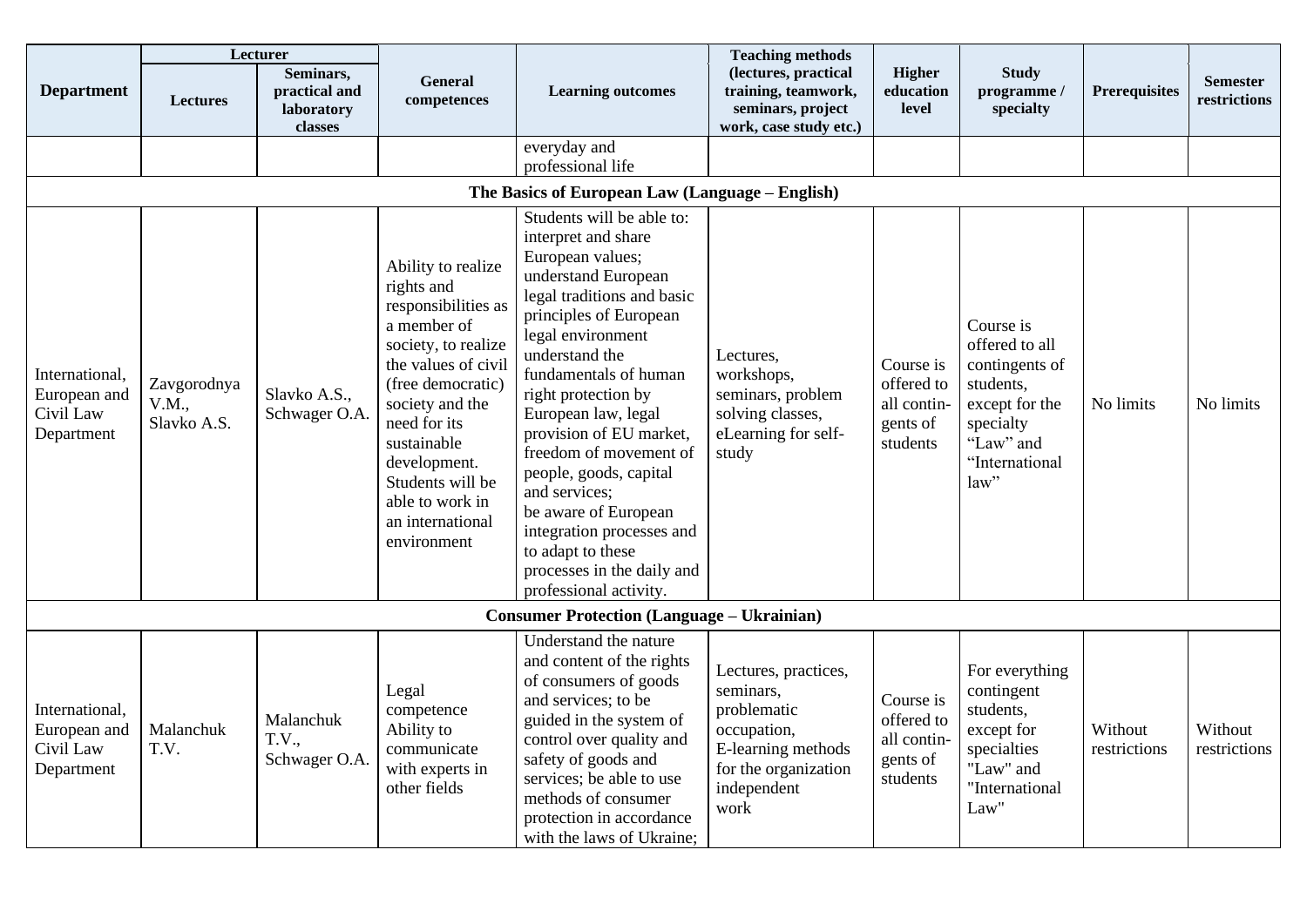|                                                           |                                     | Lecturer                                            |                                                                                                                                                                                                                                                                                       |                                                                                                                                                                                                                                                                                                                                                                                                                                                                                                     | <b>Teaching methods</b>                                                                                                              |                                                                |                                                                                                                                  |                         |                                 |
|-----------------------------------------------------------|-------------------------------------|-----------------------------------------------------|---------------------------------------------------------------------------------------------------------------------------------------------------------------------------------------------------------------------------------------------------------------------------------------|-----------------------------------------------------------------------------------------------------------------------------------------------------------------------------------------------------------------------------------------------------------------------------------------------------------------------------------------------------------------------------------------------------------------------------------------------------------------------------------------------------|--------------------------------------------------------------------------------------------------------------------------------------|----------------------------------------------------------------|----------------------------------------------------------------------------------------------------------------------------------|-------------------------|---------------------------------|
| <b>Department</b>                                         | <b>Lectures</b>                     | Seminars,<br>practical and<br>laboratory<br>classes | <b>General</b><br>competences                                                                                                                                                                                                                                                         | <b>Learning outcomes</b>                                                                                                                                                                                                                                                                                                                                                                                                                                                                            | (lectures, practical<br>training, teamwork,<br>seminars, project<br>work, case study etc.)                                           | <b>Higher</b><br>education<br>level                            | <b>Study</b><br>programme/<br>specialty                                                                                          | <b>Prerequisites</b>    | <b>Semester</b><br>restrictions |
|                                                           |                                     |                                                     |                                                                                                                                                                                                                                                                                       | everyday and<br>professional life                                                                                                                                                                                                                                                                                                                                                                                                                                                                   |                                                                                                                                      |                                                                |                                                                                                                                  |                         |                                 |
|                                                           |                                     |                                                     |                                                                                                                                                                                                                                                                                       | The Basics of European Law (Language – English)                                                                                                                                                                                                                                                                                                                                                                                                                                                     |                                                                                                                                      |                                                                |                                                                                                                                  |                         |                                 |
| International,<br>European and<br>Civil Law<br>Department | Zavgorodnya<br>V.M.,<br>Slavko A.S. | Slavko A.S.,<br>Schwager O.A.                       | Ability to realize<br>rights and<br>responsibilities as<br>a member of<br>society, to realize<br>the values of civil<br>(free democratic)<br>society and the<br>need for its<br>sustainable<br>development.<br>Students will be<br>able to work in<br>an international<br>environment | Students will be able to:<br>interpret and share<br>European values;<br>understand European<br>legal traditions and basic<br>principles of European<br>legal environment<br>understand the<br>fundamentals of human<br>right protection by<br>European law, legal<br>provision of EU market,<br>freedom of movement of<br>people, goods, capital<br>and services;<br>be aware of European<br>integration processes and<br>to adapt to these<br>processes in the daily and<br>professional activity. | Lectures,<br>workshops,<br>seminars, problem<br>solving classes,<br>eLearning for self-<br>study                                     | Course is<br>offered to<br>all contin-<br>gents of<br>students | Course is<br>offered to all<br>contingents of<br>students,<br>except for the<br>specialty<br>"Law" and<br>"International<br>law" | No limits               | No limits                       |
|                                                           |                                     |                                                     |                                                                                                                                                                                                                                                                                       | <b>Consumer Protection (Language – Ukrainian)</b>                                                                                                                                                                                                                                                                                                                                                                                                                                                   |                                                                                                                                      |                                                                |                                                                                                                                  |                         |                                 |
| International,<br>European and<br>Civil Law<br>Department | Malanchuk<br>T.V.                   | Malanchuk<br><b>T.V.,</b><br>Schwager O.A.          | Legal<br>competence<br>Ability to<br>communicate<br>with experts in<br>other fields                                                                                                                                                                                                   | Understand the nature<br>and content of the rights<br>of consumers of goods<br>and services; to be<br>guided in the system of<br>control over quality and<br>safety of goods and<br>services; be able to use<br>methods of consumer<br>protection in accordance<br>with the laws of Ukraine;                                                                                                                                                                                                        | Lectures, practices,<br>seminars,<br>problematic<br>occupation,<br>E-learning methods<br>for the organization<br>independent<br>work | Course is<br>offered to<br>all contin-<br>gents of<br>students | For everything<br>contingent<br>students,<br>except for<br>specialties<br>"Law" and<br>"International<br>Law"                    | Without<br>restrictions | Without<br>restrictions         |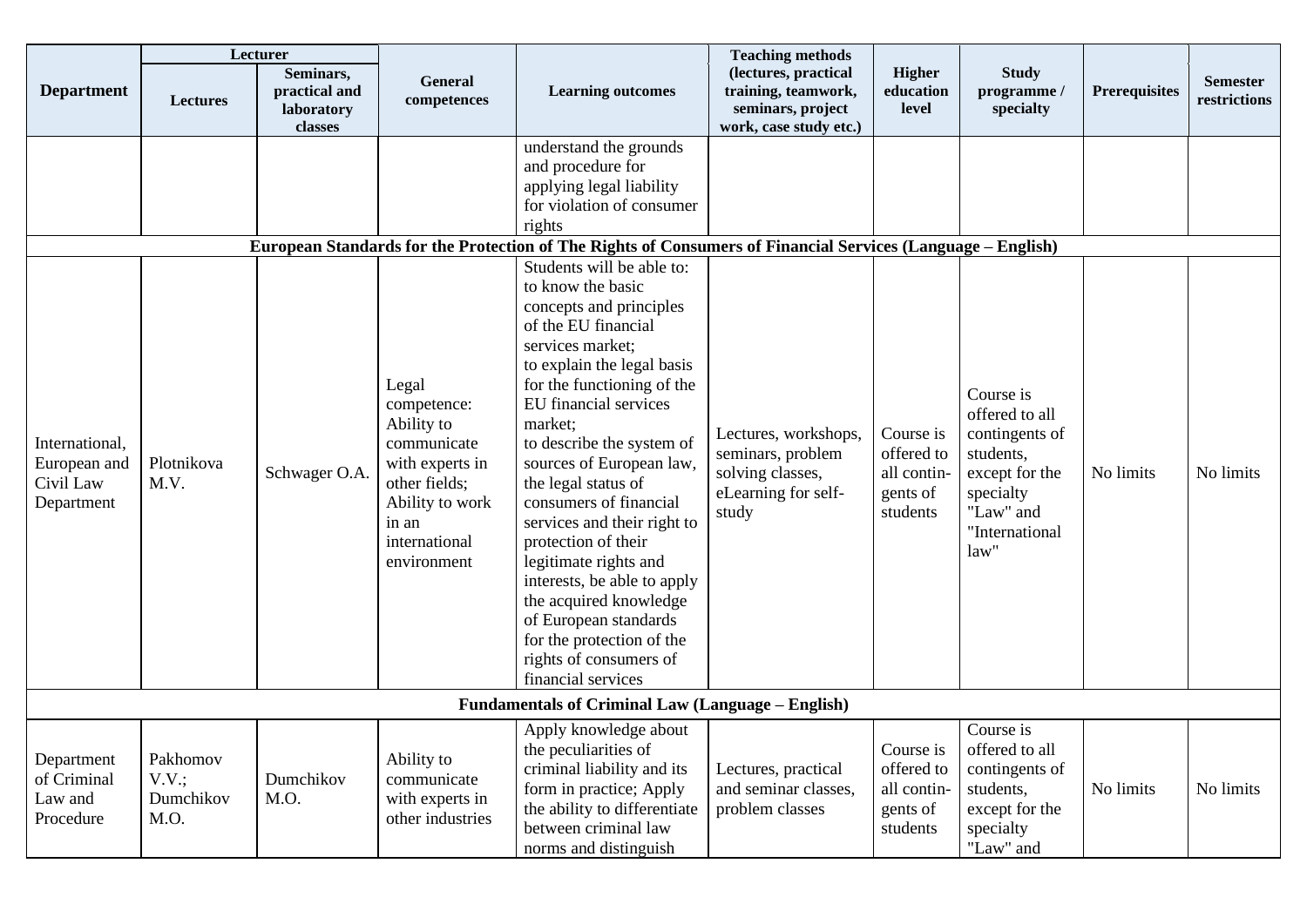|                                                           |                                        | Lecturer                                            |                                                                                                                                                   |                                                                                                                                                                                                                                                                                                                                                                                                                                                                                                                                                                                                                                                                                                                                                                                         | <b>Teaching methods</b>                                                                       |                                                                |                                                                                                                                  |                      |                                 |
|-----------------------------------------------------------|----------------------------------------|-----------------------------------------------------|---------------------------------------------------------------------------------------------------------------------------------------------------|-----------------------------------------------------------------------------------------------------------------------------------------------------------------------------------------------------------------------------------------------------------------------------------------------------------------------------------------------------------------------------------------------------------------------------------------------------------------------------------------------------------------------------------------------------------------------------------------------------------------------------------------------------------------------------------------------------------------------------------------------------------------------------------------|-----------------------------------------------------------------------------------------------|----------------------------------------------------------------|----------------------------------------------------------------------------------------------------------------------------------|----------------------|---------------------------------|
| <b>Department</b>                                         | <b>Lectures</b>                        | Seminars,<br>practical and<br>laboratory<br>classes | <b>General</b><br>competences                                                                                                                     | <b>Learning outcomes</b>                                                                                                                                                                                                                                                                                                                                                                                                                                                                                                                                                                                                                                                                                                                                                                | (lectures, practical<br>training, teamwork,<br>seminars, project<br>work, case study etc.)    | <b>Higher</b><br>education<br>level                            | <b>Study</b><br>programme/<br>specialty                                                                                          | <b>Prerequisites</b> | <b>Semester</b><br>restrictions |
| International,<br>European and<br>Civil Law<br>Department | Plotnikova<br>M.V.                     | Schwager O.A.                                       | Legal<br>competence:<br>Ability to<br>communicate<br>with experts in<br>other fields;<br>Ability to work<br>in an<br>international<br>environment | understand the grounds<br>and procedure for<br>applying legal liability<br>for violation of consumer<br>rights<br>European Standards for the Protection of The Rights of Consumers of Financial Services (Language – English)<br>Students will be able to:<br>to know the basic<br>concepts and principles<br>of the EU financial<br>services market;<br>to explain the legal basis<br>for the functioning of the<br>EU financial services<br>market;<br>to describe the system of<br>sources of European law,<br>the legal status of<br>consumers of financial<br>services and their right to<br>protection of their<br>legitimate rights and<br>interests, be able to apply<br>the acquired knowledge<br>of European standards<br>for the protection of the<br>rights of consumers of | Lectures, workshops,<br>seminars, problem<br>solving classes,<br>eLearning for self-<br>study | Course is<br>offered to<br>all contin-<br>gents of<br>students | Course is<br>offered to all<br>contingents of<br>students,<br>except for the<br>specialty<br>"Law" and<br>"International<br>law" | No limits            | No limits                       |
|                                                           |                                        |                                                     |                                                                                                                                                   | financial services                                                                                                                                                                                                                                                                                                                                                                                                                                                                                                                                                                                                                                                                                                                                                                      |                                                                                               |                                                                |                                                                                                                                  |                      |                                 |
|                                                           |                                        |                                                     |                                                                                                                                                   | <b>Fundamentals of Criminal Law (Language – English)</b>                                                                                                                                                                                                                                                                                                                                                                                                                                                                                                                                                                                                                                                                                                                                |                                                                                               |                                                                |                                                                                                                                  |                      |                                 |
| Department<br>of Criminal<br>Law and<br>Procedure         | Pakhomov<br>V.V.;<br>Dumchikov<br>M.O. | Dumchikov<br>M.O.                                   | Ability to<br>communicate<br>with experts in<br>other industries                                                                                  | Apply knowledge about<br>the peculiarities of<br>criminal liability and its<br>form in practice; Apply<br>the ability to differentiate<br>between criminal law<br>norms and distinguish                                                                                                                                                                                                                                                                                                                                                                                                                                                                                                                                                                                                 | Lectures, practical<br>and seminar classes,<br>problem classes                                | Course is<br>offered to<br>all contin-<br>gents of<br>students | Course is<br>offered to all<br>contingents of<br>students,<br>except for the<br>specialty<br>"Law" and                           | No limits            | No limits                       |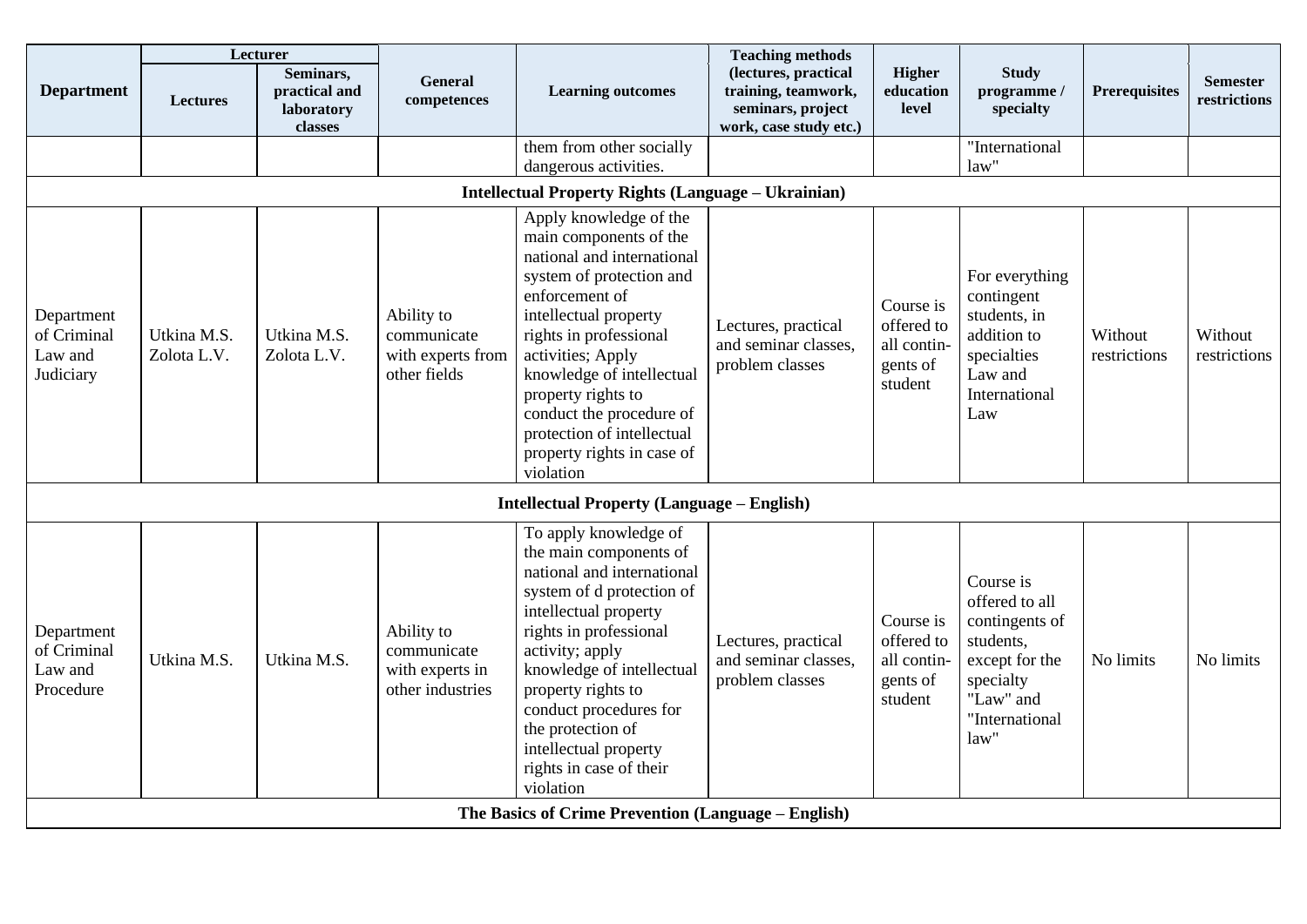|                                                   |                            | Lecturer                                            |                                                                  |                                                                                                                                                                                                                                                                                                                                                              | <b>Teaching methods</b>                                                                    |                                                               |                                                                                                                                  |                         |                                 |
|---------------------------------------------------|----------------------------|-----------------------------------------------------|------------------------------------------------------------------|--------------------------------------------------------------------------------------------------------------------------------------------------------------------------------------------------------------------------------------------------------------------------------------------------------------------------------------------------------------|--------------------------------------------------------------------------------------------|---------------------------------------------------------------|----------------------------------------------------------------------------------------------------------------------------------|-------------------------|---------------------------------|
| <b>Department</b>                                 | <b>Lectures</b>            | Seminars,<br>practical and<br>laboratory<br>classes | <b>General</b><br>competences                                    | <b>Learning outcomes</b>                                                                                                                                                                                                                                                                                                                                     | (lectures, practical<br>training, teamwork,<br>seminars, project<br>work, case study etc.) | <b>Higher</b><br>education<br>level                           | <b>Study</b><br>programme /<br>specialty                                                                                         | <b>Prerequisites</b>    | <b>Semester</b><br>restrictions |
|                                                   |                            |                                                     |                                                                  | them from other socially<br>dangerous activities.                                                                                                                                                                                                                                                                                                            |                                                                                            |                                                               | "International<br>law"                                                                                                           |                         |                                 |
|                                                   |                            |                                                     |                                                                  | <b>Intellectual Property Rights (Language – Ukrainian)</b>                                                                                                                                                                                                                                                                                                   |                                                                                            |                                                               |                                                                                                                                  |                         |                                 |
| Department<br>of Criminal<br>Law and<br>Judiciary | Utkina M.S.<br>Zolota L.V. | Utkina M.S.<br>Zolota L.V.                          | Ability to<br>communicate<br>with experts from<br>other fields   | Apply knowledge of the<br>main components of the<br>national and international<br>system of protection and<br>enforcement of<br>intellectual property<br>rights in professional<br>activities; Apply<br>knowledge of intellectual<br>property rights to<br>conduct the procedure of<br>protection of intellectual<br>property rights in case of<br>violation | Lectures, practical<br>and seminar classes,<br>problem classes                             | Course is<br>offered to<br>all contin-<br>gents of<br>student | For everything<br>contingent<br>students, in<br>addition to<br>specialties<br>Law and<br>International<br>Law                    | Without<br>restrictions | Without<br>restrictions         |
|                                                   |                            |                                                     |                                                                  | <b>Intellectual Property (Language - English)</b>                                                                                                                                                                                                                                                                                                            |                                                                                            |                                                               |                                                                                                                                  |                         |                                 |
| Department<br>of Criminal<br>Law and<br>Procedure | Utkina M.S.                | Utkina M.S.                                         | Ability to<br>communicate<br>with experts in<br>other industries | To apply knowledge of<br>the main components of<br>national and international<br>system of d protection of<br>intellectual property<br>rights in professional<br>activity; apply<br>knowledge of intellectual<br>property rights to<br>conduct procedures for<br>the protection of<br>intellectual property<br>rights in case of their<br>violation          | Lectures, practical<br>and seminar classes,<br>problem classes                             | Course is<br>offered to<br>all contin-<br>gents of<br>student | Course is<br>offered to all<br>contingents of<br>students,<br>except for the<br>specialty<br>"Law" and<br>"International<br>law" | No limits               | No limits                       |
|                                                   |                            |                                                     |                                                                  | The Basics of Crime Prevention (Language – English)                                                                                                                                                                                                                                                                                                          |                                                                                            |                                                               |                                                                                                                                  |                         |                                 |